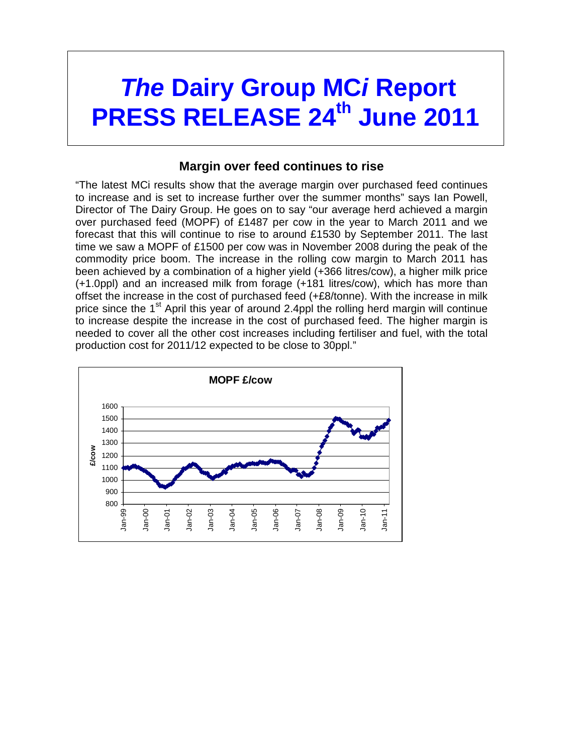# *The Dairy Group MC<sub>i</sub> Report* **PRESS RELEASE 24th June 2011**

### **Margin over feed continues to rise**

"The latest MCi results show that the average margin over purchased feed continues to increase and is set to increase further over the summer months" says Ian Powell, Director of The Dairy Group. He goes on to say "our average herd achieved a margin over purchased feed (MOPF) of £1487 per cow in the year to March 2011 and we forecast that this will continue to rise to around £1530 by September 2011. The last time we saw a MOPF of £1500 per cow was in November 2008 during the peak of the commodity price boom. The increase in the rolling cow margin to March 2011 has been achieved by a combination of a higher yield (+366 litres/cow), a higher milk price (+1.0ppl) and an increased milk from forage (+181 litres/cow), which has more than offset the increase in the cost of purchased feed (+£8/tonne). With the increase in milk price since the  $1<sup>st</sup>$  April this year of around 2.4ppl the rolling herd margin will continue to increase despite the increase in the cost of purchased feed. The higher margin is needed to cover all the other cost increases including fertiliser and fuel, with the total production cost for 2011/12 expected to be close to 30ppl."

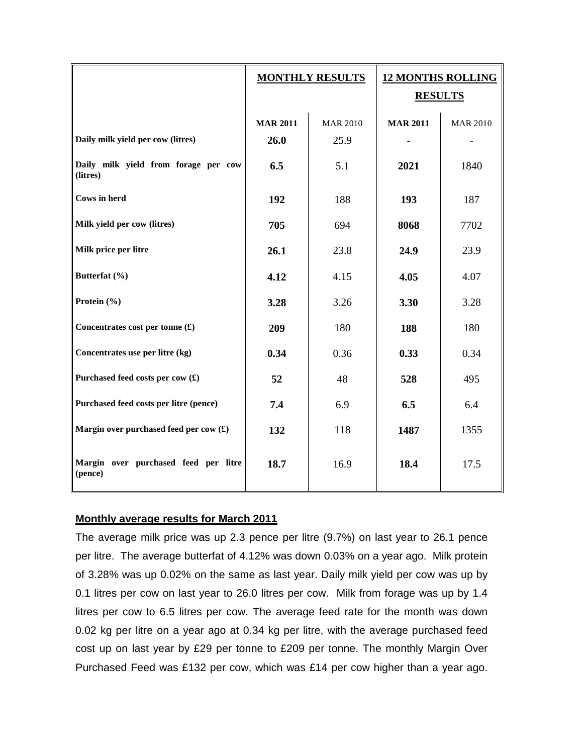|                                                         | <b>MONTHLY RESULTS</b> |                 | <b>12 MONTHS ROLLING</b><br><b>RESULTS</b> |                 |
|---------------------------------------------------------|------------------------|-----------------|--------------------------------------------|-----------------|
|                                                         | <b>MAR 2011</b>        | <b>MAR 2010</b> | <b>MAR 2011</b>                            | <b>MAR 2010</b> |
| Daily milk yield per cow (litres)                       | 26.0                   | 25.9            |                                            |                 |
| Daily milk yield from forage per cow<br>(litres)        | 6.5                    | 5.1             | 2021                                       | 1840            |
| <b>Cows</b> in herd                                     | 192                    | 188             | 193                                        | 187             |
| Milk yield per cow (litres)                             | 705                    | 694             | 8068                                       | 7702            |
| Milk price per litre                                    | 26.1                   | 23.8            | 24.9                                       | 23.9            |
| Butterfat (%)                                           | 4.12                   | 4.15            | 4.05                                       | 4.07            |
| Protein (%)                                             | 3.28                   | 3.26            | 3.30                                       | 3.28            |
| Concentrates cost per tonne $(\textbf{\textsterling})$  | 209                    | 180             | 188                                        | 180             |
| Concentrates use per litre (kg)                         | 0.34                   | 0.36            | 0.33                                       | 0.34            |
| Purchased feed costs per cow (£)                        | 52                     | 48              | 528                                        | 495             |
| Purchased feed costs per litre (pence)                  | 7.4                    | 6.9             | 6.5                                        | 6.4             |
| Margin over purchased feed per cow $(\textbf{\pounds})$ | 132                    | 118             | 1487                                       | 1355            |
| Margin over purchased feed per litre<br>(pence)         | 18.7                   | 16.9            | 18.4                                       | 17.5            |

#### **Monthly average results for March 2011**

The average milk price was up 2.3 pence per litre (9.7%) on last year to 26.1 pence per litre. The average butterfat of 4.12% was down 0.03% on a year ago. Milk protein of 3.28% was up 0.02% on the same as last year. Daily milk yield per cow was up by 0.1 litres per cow on last year to 26.0 litres per cow. Milk from forage was up by 1.4 litres per cow to 6.5 litres per cow. The average feed rate for the month was down 0.02 kg per litre on a year ago at 0.34 kg per litre, with the average purchased feed cost up on last year by £29 per tonne to £209 per tonne. The monthly Margin Over Purchased Feed was £132 per cow, which was £14 per cow higher than a year ago.